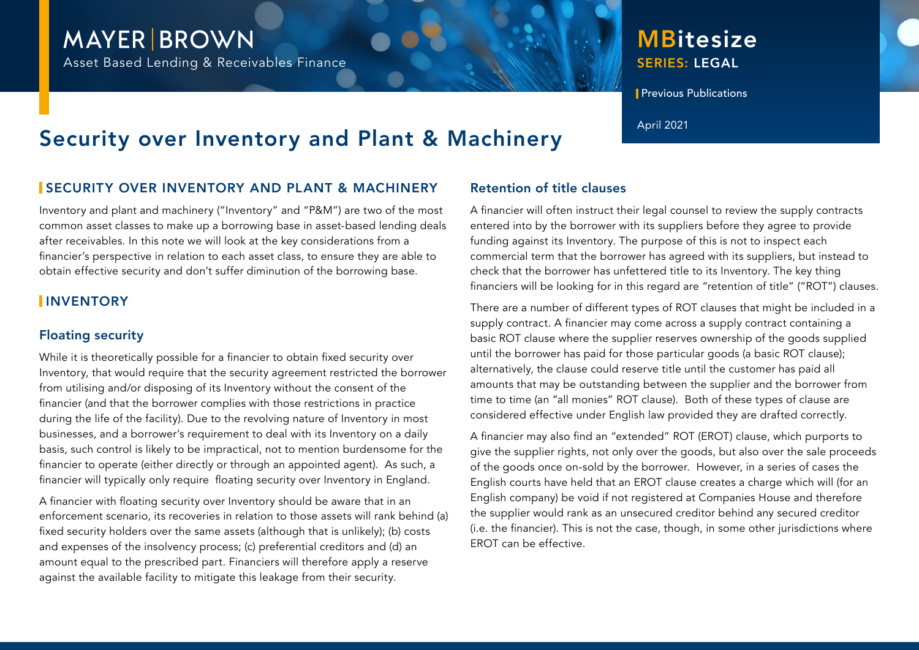## **MAYER BROWN**

Asset Based Lending & Receivables Finance

### SERIES: LEGAL **MBitesize**

**Previous Publications** 

# Security over Inventory and Plant & Machinery April 2021

#### SECURITY OVER INVENTORY AND PLANT & MACHINERY

Inventory and plant and machinery ("Inventory" and "P&M") are two of the most common asset classes to make up a borrowing base in asset-based lending deals after receivables. In this note we will look at the key considerations from a financier's perspective in relation to each asset class, to ensure they are able to obtain effective security and don't suffer diminution of the borrowing base.

#### **INVENTORY**

#### Floating security

While it is theoretically possible for a financier to obtain fixed security over Inventory, that would require that the security agreement restricted the borrower from utilising and/or disposing of its Inventory without the consent of the financier (and that the borrower complies with those restrictions in practice during the life of the facility). Due to the revolving nature of Inventory in most businesses, and a borrower's requirement to deal with its Inventory on a daily basis, such control is likely to be impractical, not to mention burdensome for the financier to operate (either directly or through an appointed agent). As such, a financier will typically only require floating security over Inventory in England.

A financier with floating security over Inventory should be aware that in an enforcement scenario, its recoveries in relation to those assets will rank behind (a) fixed security holders over the same assets (although that is unlikely); (b) costs and expenses of the insolvency process; (c) preferential creditors and (d) an amount equal to the prescribed part. Financiers will therefore apply a reserve against the available facility to mitigate this leakage from their security.

#### Retention of title clauses

A financier will often instruct their legal counsel to review the supply contracts entered into by the borrower with its suppliers before they agree to provide funding against its Inventory. The purpose of this is not to inspect each commercial term that the borrower has agreed with its suppliers, but instead to check that the borrower has unfettered title to its Inventory. The key thing financiers will be looking for in this regard are "retention of title" ("ROT") clauses.

There are a number of different types of ROT clauses that might be included in a supply contract. A financier may come across a supply contract containing a basic ROT clause where the supplier reserves ownership of the goods supplied until the borrower has paid for those particular goods (a basic ROT clause); alternatively, the clause could reserve title until the customer has paid all amounts that may be outstanding between the supplier and the borrower from time to time (an "all monies" ROT clause). Both of these types of clause are considered effective under English law provided they are drafted correctly.

A financier may also find an "extended" ROT (EROT) clause, which purports to give the supplier rights, not only over the goods, but also over the sale proceeds of the goods once on-sold by the borrower. However, in a series of cases the English courts have held that an EROT clause creates a charge which will (for an English company) be void if not registered at Companies House and therefore the supplier would rank as an unsecured creditor behind any secured creditor (i.e. the financier). This is not the case, though, in some other jurisdictions where EROT can be effective.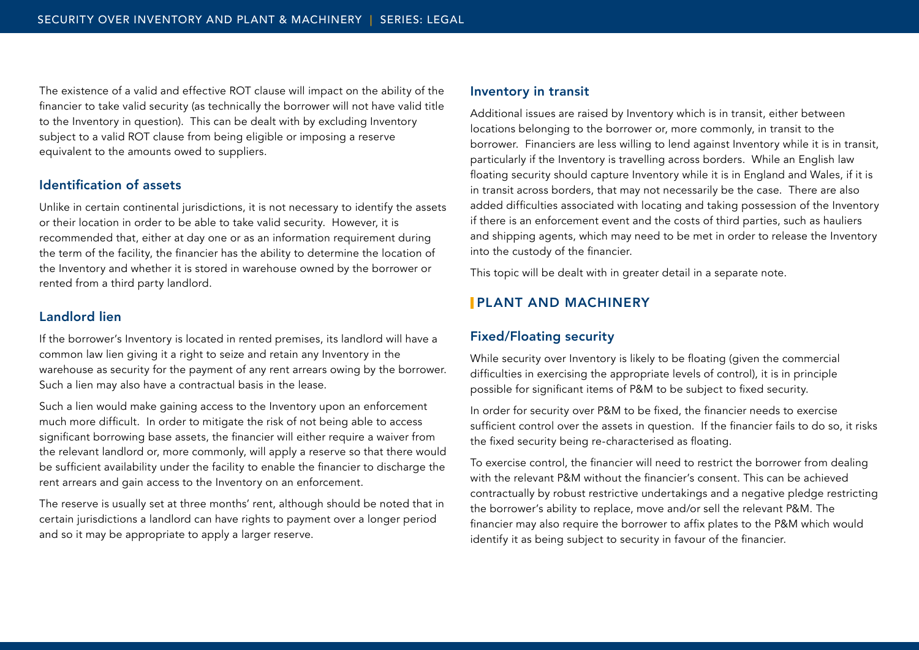The existence of a valid and effective ROT clause will impact on the ability of the financier to take valid security (as technically the borrower will not have valid title to the Inventory in question). This can be dealt with by excluding Inventory subject to a valid ROT clause from being eligible or imposing a reserve equivalent to the amounts owed to suppliers.

#### Identification of assets

Unlike in certain continental jurisdictions, it is not necessary to identify the assets or their location in order to be able to take valid security. However, it is recommended that, either at day one or as an information requirement during the term of the facility, the financier has the ability to determine the location of the Inventory and whether it is stored in warehouse owned by the borrower or rented from a third party landlord.

#### Landlord lien

If the borrower's Inventory is located in rented premises, its landlord will have a common law lien giving it a right to seize and retain any Inventory in the warehouse as security for the payment of any rent arrears owing by the borrower. Such a lien may also have a contractual basis in the lease.

Such a lien would make gaining access to the Inventory upon an enforcement much more difficult. In order to mitigate the risk of not being able to access significant borrowing base assets, the financier will either require a waiver from the relevant landlord or, more commonly, will apply a reserve so that there would be sufficient availability under the facility to enable the financier to discharge the rent arrears and gain access to the Inventory on an enforcement.

The reserve is usually set at three months' rent, although should be noted that in certain jurisdictions a landlord can have rights to payment over a longer period and so it may be appropriate to apply a larger reserve.

#### Inventory in transit

Additional issues are raised by Inventory which is in transit, either between locations belonging to the borrower or, more commonly, in transit to the borrower. Financiers are less willing to lend against Inventory while it is in transit, particularly if the Inventory is travelling across borders. While an English law floating security should capture Inventory while it is in England and Wales, if it is in transit across borders, that may not necessarily be the case. There are also added difficulties associated with locating and taking possession of the Inventory if there is an enforcement event and the costs of third parties, such as hauliers and shipping agents, which may need to be met in order to release the Inventory into the custody of the financier.

This topic will be dealt with in greater detail in a separate note.

#### PLANT AND MACHINERY

#### Fixed/Floating security

While security over Inventory is likely to be floating (given the commercial difficulties in exercising the appropriate levels of control), it is in principle possible for significant items of P&M to be subject to fixed security.

In order for security over P&M to be fixed, the financier needs to exercise sufficient control over the assets in question. If the financier fails to do so, it risks the fixed security being re-characterised as floating.

To exercise control, the financier will need to restrict the borrower from dealing with the relevant P&M without the financier's consent. This can be achieved contractually by robust restrictive undertakings and a negative pledge restricting the borrower's ability to replace, move and/or sell the relevant P&M. The financier may also require the borrower to affix plates to the P&M which would identify it as being subject to security in favour of the financier.